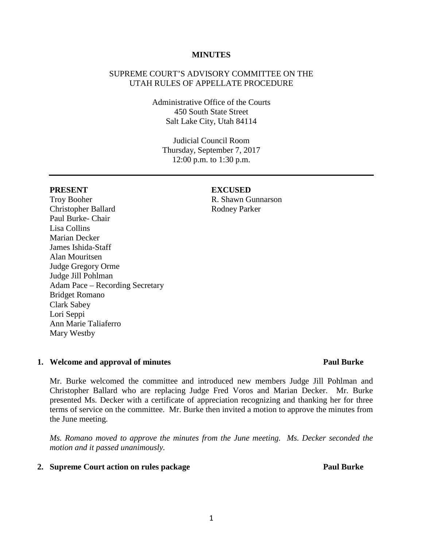### **MINUTES**

# SUPREME COURT'S ADVISORY COMMITTEE ON THE UTAH RULES OF APPELLATE PROCEDURE

Administrative Office of the Courts 450 South State Street Salt Lake City, Utah 84114

Judicial Council Room Thursday, September 7, 2017 12:00 p.m. to 1:30 p.m.

### **PRESENT EXCUSED**

Troy Booher Christopher Ballard Paul Burke- Chair Lisa Collins Marian Decker James Ishida-Staff Alan Mouritsen Judge Gregory Orme Judge Jill Pohlman Adam Pace – Recording Secretary Bridget Romano Clark Sabey Lori Seppi Ann Marie Taliaferro Mary Westby

R. Shawn Gunnarson Rodney Parker

### **1. Welcome and approval of minutes Paul Burke**

# Mr. Burke welcomed the committee and introduced new members Judge Jill Pohlman and Christopher Ballard who are replacing Judge Fred Voros and Marian Decker. Mr. Burke presented Ms. Decker with a certificate of appreciation recognizing and thanking her for three terms of service on the committee. Mr. Burke then invited a motion to approve the minutes from the June meeting.

*Ms. Romano moved to approve the minutes from the June meeting. Ms. Decker seconded the motion and it passed unanimously.* 

### **2. Supreme Court action on rules package Paul Burke**

1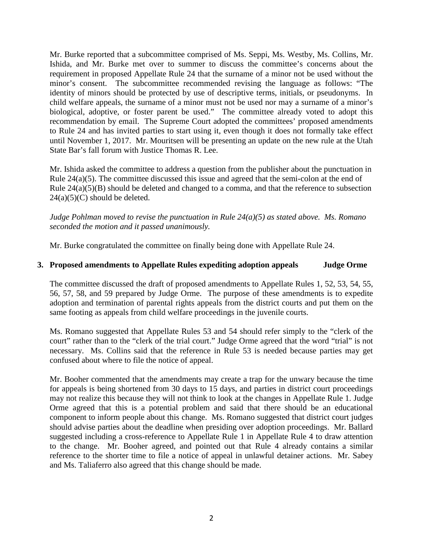Mr. Burke reported that a subcommittee comprised of Ms. Seppi, Ms. Westby, Ms. Collins, Mr. Ishida, and Mr. Burke met over to summer to discuss the committee's concerns about the requirement in proposed Appellate Rule 24 that the surname of a minor not be used without the minor's consent. The subcommittee recommended revising the language as follows: "The identity of minors should be protected by use of descriptive terms, initials, or pseudonyms. In child welfare appeals, the surname of a minor must not be used nor may a surname of a minor's biological, adoptive, or foster parent be used." The committee already voted to adopt this recommendation by email. The Supreme Court adopted the committees' proposed amendments to Rule 24 and has invited parties to start using it, even though it does not formally take effect until November 1, 2017. Mr. Mouritsen will be presenting an update on the new rule at the Utah State Bar's fall forum with Justice Thomas R. Lee.

Mr. Ishida asked the committee to address a question from the publisher about the punctuation in Rule 24(a)(5). The committee discussed this issue and agreed that the semi-colon at the end of Rule 24(a)(5)(B) should be deleted and changed to a comma, and that the reference to subsection  $24(a)(5)(C)$  should be deleted.

*Judge Pohlman moved to revise the punctuation in Rule 24(a)(5) as stated above. Ms. Romano seconded the motion and it passed unanimously.* 

Mr. Burke congratulated the committee on finally being done with Appellate Rule 24.

# **3. Proposed amendments to Appellate Rules expediting adoption appeals Judge Orme**

The committee discussed the draft of proposed amendments to Appellate Rules 1, 52, 53, 54, 55, 56, 57, 58, and 59 prepared by Judge Orme. The purpose of these amendments is to expedite adoption and termination of parental rights appeals from the district courts and put them on the same footing as appeals from child welfare proceedings in the juvenile courts.

Ms. Romano suggested that Appellate Rules 53 and 54 should refer simply to the "clerk of the court" rather than to the "clerk of the trial court." Judge Orme agreed that the word "trial" is not necessary. Ms. Collins said that the reference in Rule 53 is needed because parties may get confused about where to file the notice of appeal.

Mr. Booher commented that the amendments may create a trap for the unwary because the time for appeals is being shortened from 30 days to 15 days, and parties in district court proceedings may not realize this because they will not think to look at the changes in Appellate Rule 1. Judge Orme agreed that this is a potential problem and said that there should be an educational component to inform people about this change. Ms. Romano suggested that district court judges should advise parties about the deadline when presiding over adoption proceedings. Mr. Ballard suggested including a cross-reference to Appellate Rule 1 in Appellate Rule 4 to draw attention to the change. Mr. Booher agreed, and pointed out that Rule 4 already contains a similar reference to the shorter time to file a notice of appeal in unlawful detainer actions. Mr. Sabey and Ms. Taliaferro also agreed that this change should be made.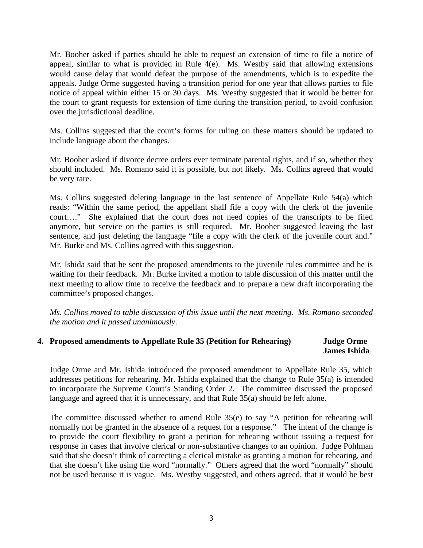Mr. Booher asked if parties should be able to request an extension of time to file a notice of appeal, similar to what is provided in Rule 4(e). Ms. Westby said that allowing extensions would cause delay that would defeat the purpose of the amendments, which is to expedite the appeals. Judge Orme suggested having a transition period for one year that allows parties to file notice of appeal within either 15 or 30 days. Ms. Westby suggested that it would be better for the court to grant requests for extension of time during the transition period, to avoid confusion over the jurisdictional deadline.

Ms. Collins suggested that the court's forms for ruling on these matters should be updated to include language about the changes.

Mr. Booher asked if divorce decree orders ever terminate parental rights, and if so, whether they should included. Ms. Romano said it is possible, but not likely. Ms. Collins agreed that would be very rare.

Ms. Collins suggested deleting language in the last sentence of Appellate Rule 54(a) which reads: "Within the same period, the appellant shall file a copy with the clerk of the juvenile court…." She explained that the court does not need copies of the transcripts to be filed anymore, but service on the parties is still required. Mr. Booher suggested leaving the last sentence, and just deleting the language "file a copy with the clerk of the juvenile court and." Mr. Burke and Ms. Collins agreed with this suggestion.

Mr. Ishida said that he sent the proposed amendments to the juvenile rules committee and he is waiting for their feedback. Mr. Burke invited a motion to table discussion of this matter until the next meeting to allow time to receive the feedback and to prepare a new draft incorporating the committee's proposed changes.

*Ms. Collins moved to table discussion of this issue until the next meeting. Ms. Romano seconded the motion and it passed unanimously*.

# **4. Proposed amendments to Appellate Rule 35 (Petition for Rehearing) Judge Orme James Ishida**

Judge Orme and Mr. Ishida introduced the proposed amendment to Appellate Rule 35, which addresses petitions for rehearing. Mr. Ishida explained that the change to Rule 35(a) is intended to incorporate the Supreme Court's Standing Order 2. The committee discussed the proposed language and agreed that it is unnecessary, and that Rule 35(a) should be left alone.

The committee discussed whether to amend Rule 35(e) to say "A petition for rehearing will normally not be granted in the absence of a request for a response." The intent of the change is to provide the court flexibility to grant a petition for rehearing without issuing a request for response in cases that involve clerical or non-substantive changes to an opinion. Judge Pohlman said that she doesn't think of correcting a clerical mistake as granting a motion for rehearing, and that she doesn't like using the word "normally." Others agreed that the word "normally" should not be used because it is vague. Ms. Westby suggested, and others agreed, that it would be best